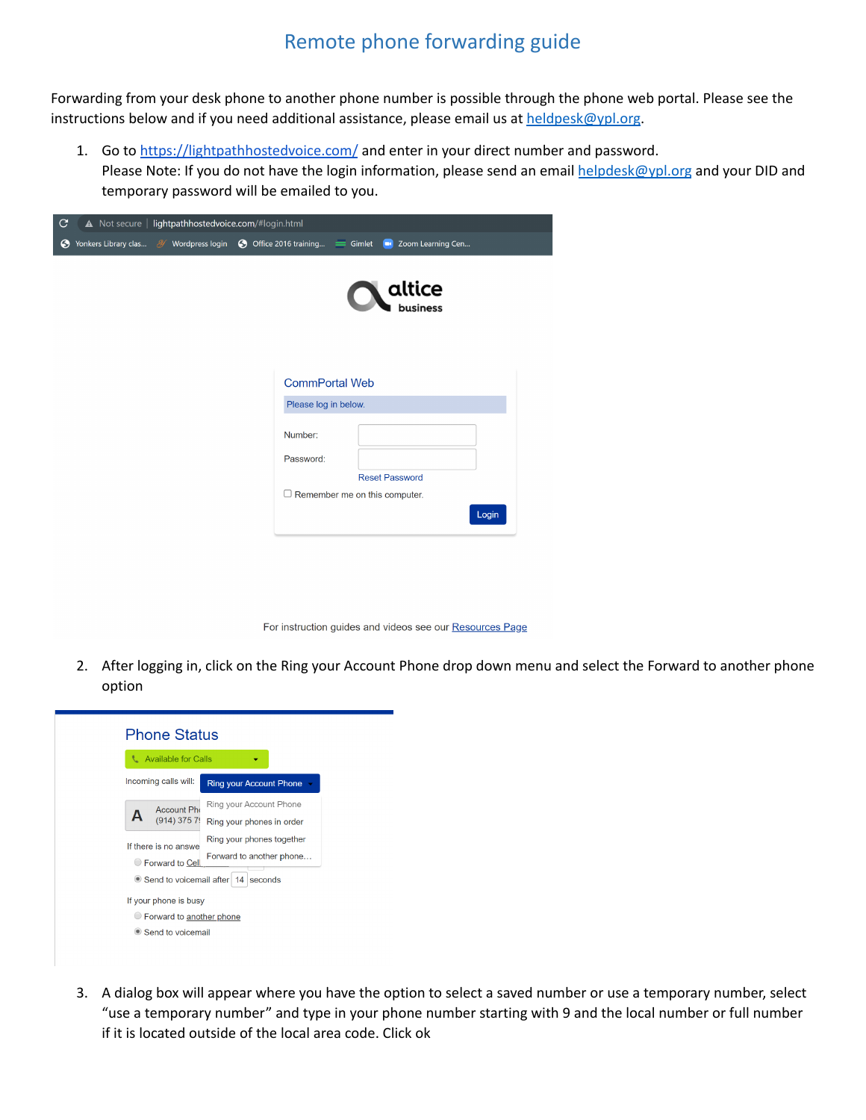## Remote phone forwarding guide

Forwarding from your desk phone to another phone number is possible through the phone web portal. Please see the instructions below and if you need additional assistance, please email us at  $heldelesk@ypl.org$ .

1. Go to <https://lightpathhostedvoice.com/> and enter in your direct number and password. Please Note: If you do not have the login information, please send an email [helpdesk@ypl.org](mailto:helpdesk@ypl.org) and your DID and temporary password will be emailed to you.

| y | A Not secure   lightpathhostedvoice.com/#login.html |                                               |                       |       |
|---|-----------------------------------------------------|-----------------------------------------------|-----------------------|-------|
|   |                                                     |                                               |                       |       |
|   |                                                     |                                               | altice                |       |
|   |                                                     | <b>CommPortal Web</b><br>Please log in below. |                       |       |
|   |                                                     | Number:<br>Password:                          | <b>Reset Password</b> |       |
|   |                                                     | $\Box$ Remember me on this computer.          |                       | Login |

For instruction guides and videos see our Resources Page

2. After logging in, click on the Ring your Account Phone drop down menu and select the Forward to another phone option



3. A dialog box will appear where you have the option to select a saved number or use a temporary number, select "use a temporary number" and type in your phone number starting with 9 and the local number or full number if it is located outside of the local area code. Click ok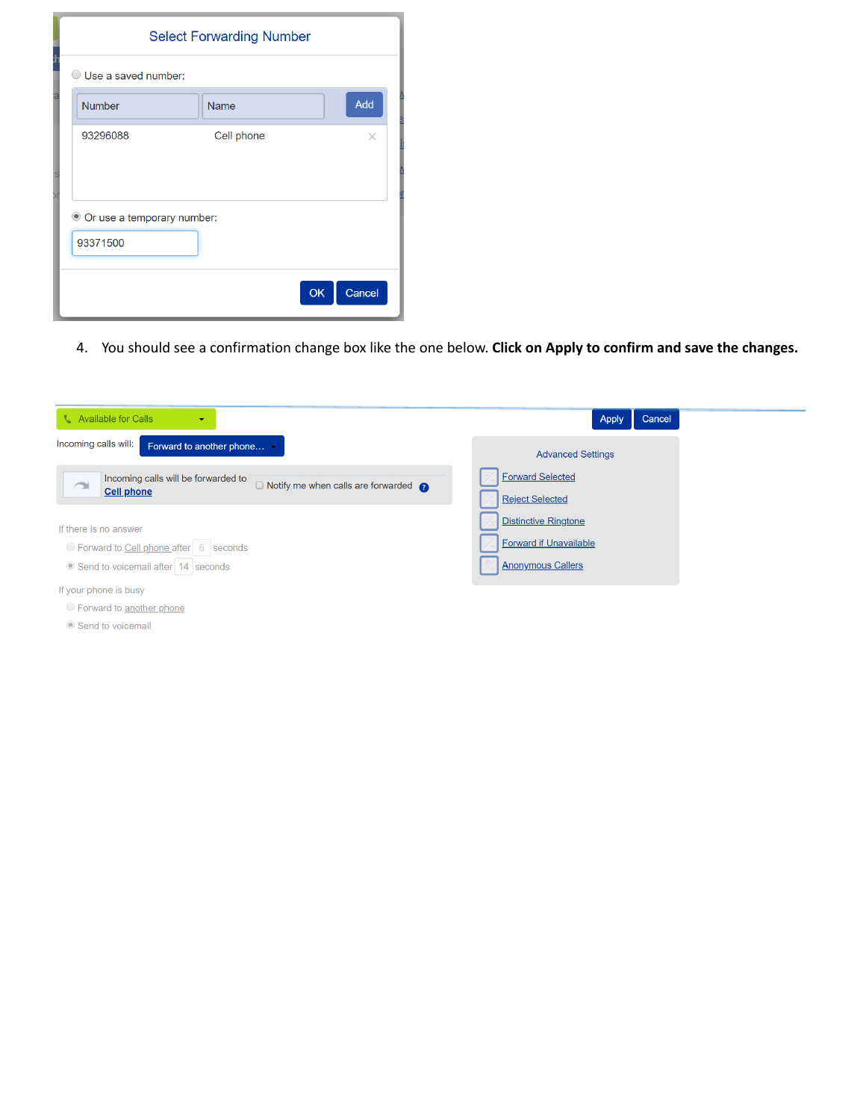| <b>Select Forwarding Number</b>        |             |              |  |  |
|----------------------------------------|-------------|--------------|--|--|
| Use a saved number:<br>(               |             |              |  |  |
| <b>Number</b>                          | <b>Name</b> | Add          |  |  |
| 93296088                               | Cell phone  | $\times$     |  |  |
| Or use a temporary number:<br>93371500 |             |              |  |  |
|                                        |             | OK<br>Cancel |  |  |

4. You should see a confirmation change box like the one below. **Click on Apply to confirm and save the changes.**

| <b>L</b> Available for Calls<br>٠                                                                                          | Cancel<br>Apply                                                                          |
|----------------------------------------------------------------------------------------------------------------------------|------------------------------------------------------------------------------------------|
| Incoming calls will:<br>Forward to another phone                                                                           | <b>Advanced Settings</b>                                                                 |
| Incoming calls will be forwarded to<br>$\Box$ Notify me when calls are forwarded $\bigcirc$<br>$\sim$<br><b>Cell phone</b> | <b>Forward Selected</b><br><b>Reject Selected</b>                                        |
| If there is no answer<br>◯ Forward to Cell phone after 6 seconds<br>Send to voicemail after 14 seconds                     | <b>Distinctive Ringtone</b><br><b>Forward if Unavailable</b><br><b>Anonymous Callers</b> |
| If your phone is busy<br>◯ Forward to another phone<br>Send to voicemail                                                   |                                                                                          |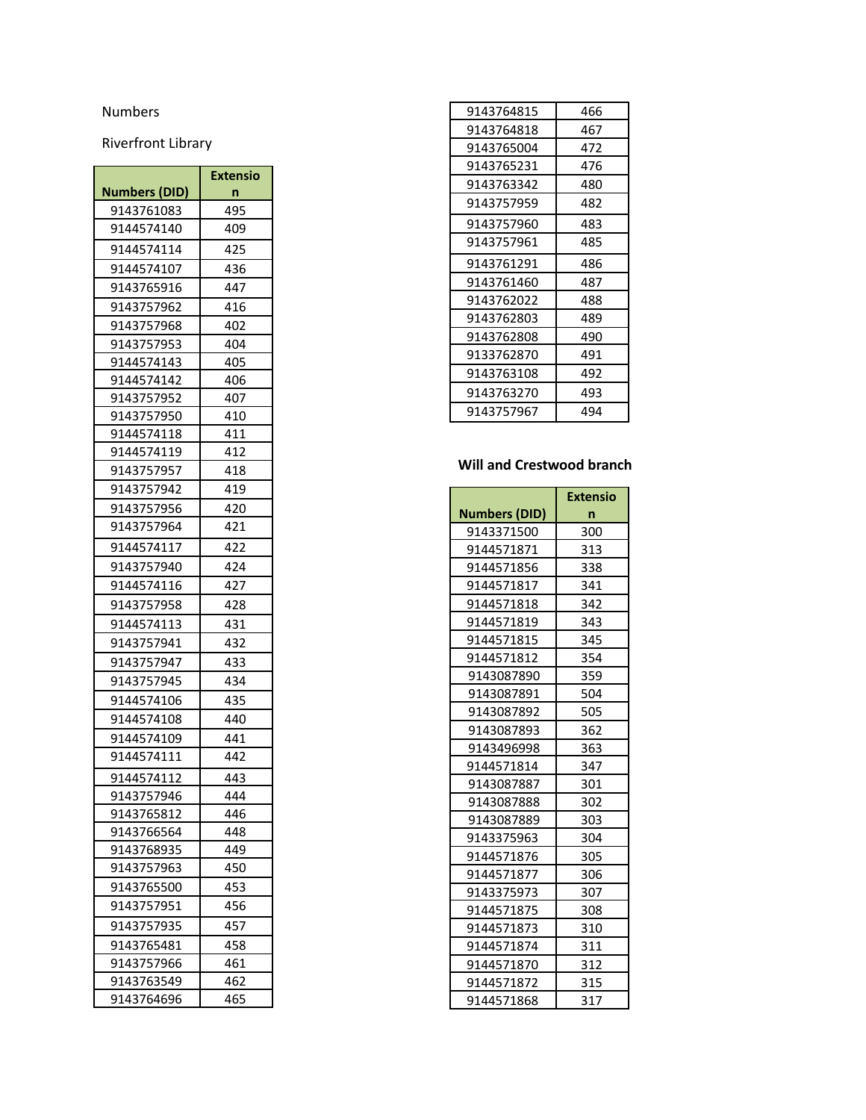## **Numbers**

Riverfront Library

|               | <b>Extensio</b> |
|---------------|-----------------|
| Numbers (DID) | n               |
| 9143761083    | 495             |
| 9144574140    | 409             |
| 9144574114    | 425             |
| 9144574107    | 436             |
| 9143765916    | 447             |
| 9143757962    | 416             |
| 9143757968    | 402             |
| 9143757953    | 404             |
| 9144574143    | 405             |
| 9144574142    | 406             |
| 9143757952    | 407             |
| 9143757950    | 410             |
| 9144574118    | 411             |
| 9144574119    | 412             |
| 9143757957    | 418             |
| 9143757942    | 419             |
| 9143757956    | 420             |
| 9143757964    | 421             |
| 9144574117    | 422             |
| 9143757940    | 424             |
| 9144574116    | 427             |
| 9143757958    | 428             |
| 9144574113    | 431             |
| 9143757941    | 432             |
| 9143757947    | 433             |
| 9143757945    | 434             |
| 9144574106    | 435             |
| 9144574108    | 440             |
| 9144574109    | 441             |
| 9144574111    | 442             |
| 9144574112    | 443             |
| 9143757946    | 444             |
| 9143765812    | 446             |
| 9143766564    | 448             |
| 9143768935    | 449             |
| 9143757963    | 450             |
| 9143765500    | 453             |
| 9143757951    | 456             |
| 9143757935    | 457             |
| 9143765481    | 458             |
| 9143757966    | 461             |
| 9143763549    | 462             |
| 9143764696    | 465             |

| 9143764815 | 466 |
|------------|-----|
| 9143764818 | 467 |
| 9143765004 | 472 |
| 9143765231 | 476 |
| 9143763342 | 480 |
| 9143757959 | 482 |
| 9143757960 | 483 |
| 9143757961 | 485 |
| 9143761291 | 486 |
| 9143761460 | 487 |
| 9143762022 | 488 |
| 9143762803 | 489 |
| 9143762808 | 490 |
| 9133762870 | 491 |
| 9143763108 | 492 |
| 9143763270 | 493 |
| 9143757967 | 494 |
|            |     |

## Will and Crestwood branch

|                      | <b>Extensio</b> |
|----------------------|-----------------|
| <b>Numbers (DID)</b> | n               |
| 9143371500           | 300             |
| 9144571871           | 313             |
| 9144571856           | 338             |
| 9144571817           | 341             |
| 9144571818           | 342             |
| 9144571819           | 343             |
| 9144571815           | 345             |
| 9144571812           | 354             |
| 9143087890           | 359             |
| 9143087891           | 504             |
| 9143087892           | 505             |
| 9143087893           | 362             |
| 9143496998           | 363             |
| 9144571814           | 347             |
| 9143087887           | 301             |
| 9143087888           | 302             |
| 9143087889           | 303             |
| 9143375963           | 304             |
| 9144571876           | 305             |
| 9144571877           | 306             |
| 9143375973           | 307             |
| 9144571875           | 308             |
| 9144571873           | 310             |
| 9144571874           | 311             |
| 9144571870           | 312             |
| 9144571872           | 315             |
| 9144571868           | 317             |